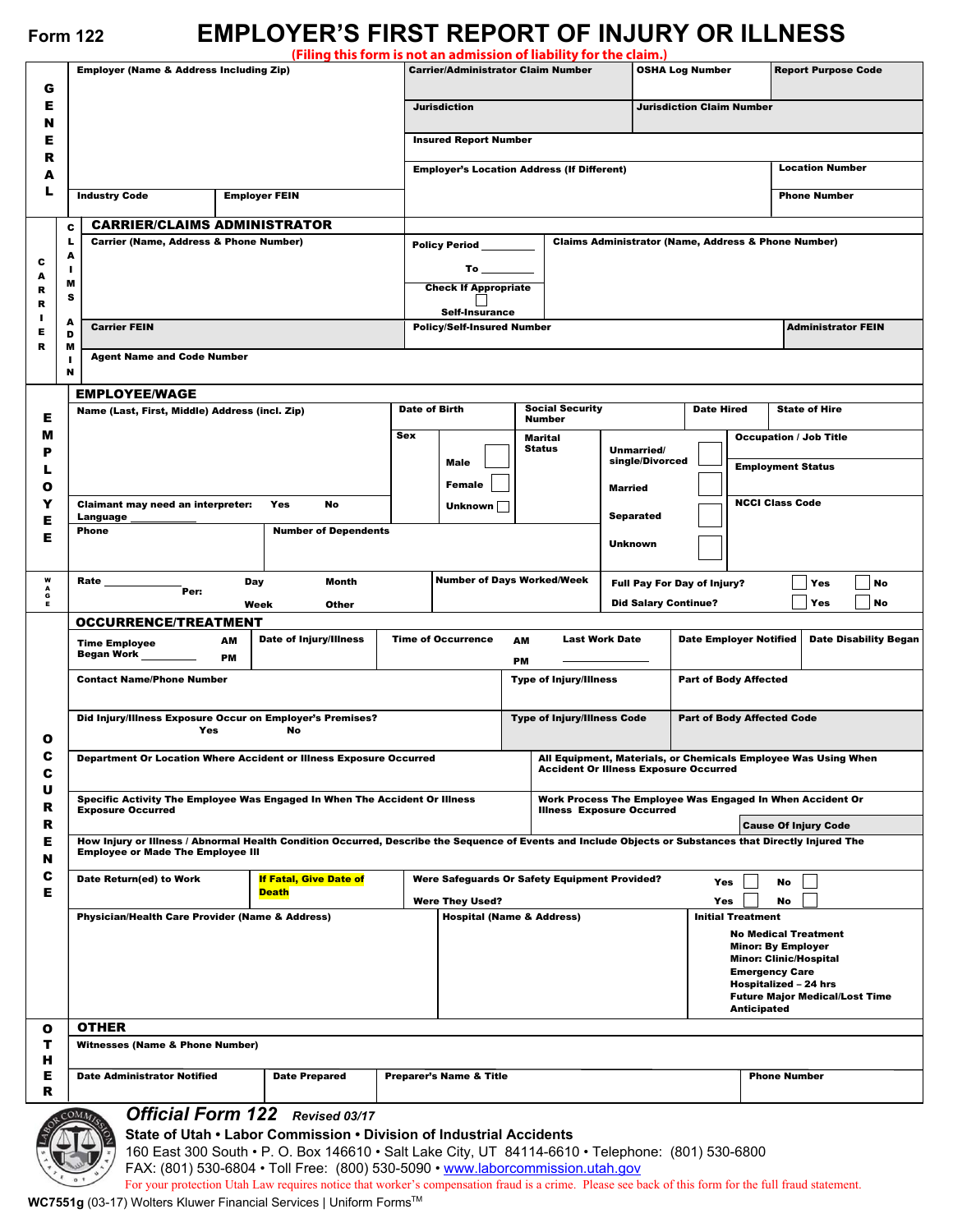# **Form 122 EMPLOYER'S FIRST REPORT OF INJURY OR ILLNESS**

|                                                                                    | (Filing this form is not an admission of liability for the claim.)                                                                                                                                                                 |                             |                                    |                                                                                                                                          |                                         |                                                                                                                |                                                                                        |                                                           |                                                                                                                                                                                                     |                               |  |  |
|------------------------------------------------------------------------------------|------------------------------------------------------------------------------------------------------------------------------------------------------------------------------------------------------------------------------------|-----------------------------|------------------------------------|------------------------------------------------------------------------------------------------------------------------------------------|-----------------------------------------|----------------------------------------------------------------------------------------------------------------|----------------------------------------------------------------------------------------|-----------------------------------------------------------|-----------------------------------------------------------------------------------------------------------------------------------------------------------------------------------------------------|-------------------------------|--|--|
| G                                                                                  | <b>Employer (Name &amp; Address Including Zip)</b>                                                                                                                                                                                 |                             |                                    | <b>Carrier/Administrator Claim Number</b>                                                                                                |                                         |                                                                                                                |                                                                                        | <b>OSHA Log Number</b>                                    |                                                                                                                                                                                                     | <b>Report Purpose Code</b>    |  |  |
| Е<br>N                                                                             |                                                                                                                                                                                                                                    |                             |                                    | <b>Jurisdiction</b>                                                                                                                      |                                         |                                                                                                                |                                                                                        | <b>Jurisdiction Claim Number</b>                          |                                                                                                                                                                                                     |                               |  |  |
| Е<br>R                                                                             |                                                                                                                                                                                                                                    |                             |                                    | <b>Insured Report Number</b>                                                                                                             |                                         |                                                                                                                |                                                                                        |                                                           |                                                                                                                                                                                                     |                               |  |  |
| A                                                                                  |                                                                                                                                                                                                                                    |                             |                                    | <b>Employer's Location Address (If Different)</b>                                                                                        |                                         |                                                                                                                |                                                                                        |                                                           |                                                                                                                                                                                                     | <b>Location Number</b>        |  |  |
| L                                                                                  | <b>Industry Code</b><br><b>Employer FEIN</b>                                                                                                                                                                                       |                             |                                    |                                                                                                                                          |                                         |                                                                                                                |                                                                                        |                                                           |                                                                                                                                                                                                     | <b>Phone Number</b>           |  |  |
| c<br>г<br>A<br>c<br>A<br>M<br>R<br>s<br>R<br>J.<br>A<br>Е<br>D<br>R<br>M<br>п<br>N | <b>CARRIER/CLAIMS ADMINISTRATOR</b><br>Carrier (Name, Address & Phone Number)<br><b>Carrier FEIN</b><br><b>Agent Name and Code Number</b>                                                                                          |                             |                                    | Policy Period _______<br>To $\qquad \qquad$<br><b>Check If Appropriate</b><br><b>Self-Insurance</b><br><b>Policy/Self-Insured Number</b> |                                         | Claims Administrator (Name, Address & Phone Number)                                                            |                                                                                        |                                                           |                                                                                                                                                                                                     | <b>Administrator FEIN</b>     |  |  |
|                                                                                    | <b>EMPLOYEE/WAGE</b>                                                                                                                                                                                                               |                             |                                    |                                                                                                                                          |                                         |                                                                                                                |                                                                                        |                                                           |                                                                                                                                                                                                     |                               |  |  |
| Е                                                                                  | Name (Last, First, Middle) Address (incl. Zip)                                                                                                                                                                                     |                             | Date of Birth                      |                                                                                                                                          | <b>Social Security</b><br><b>Number</b> |                                                                                                                |                                                                                        | <b>Date Hired</b>                                         |                                                                                                                                                                                                     | <b>State of Hire</b>          |  |  |
| M                                                                                  |                                                                                                                                                                                                                                    |                             | <b>Sex</b>                         |                                                                                                                                          | <b>Marital</b>                          |                                                                                                                |                                                                                        |                                                           |                                                                                                                                                                                                     | <b>Occupation / Job Title</b> |  |  |
| Р                                                                                  |                                                                                                                                                                                                                                    |                             |                                    | Male                                                                                                                                     | <b>Status</b>                           |                                                                                                                | Unmarried/<br>single/Divorced                                                          |                                                           |                                                                                                                                                                                                     | <b>Employment Status</b>      |  |  |
| L<br>о                                                                             |                                                                                                                                                                                                                                    |                             |                                    | Female                                                                                                                                   |                                         |                                                                                                                | <b>Married</b>                                                                         |                                                           |                                                                                                                                                                                                     |                               |  |  |
| Y                                                                                  | Claimant may need an interpreter:                                                                                                                                                                                                  | Yes<br><b>No</b>            |                                    | Unknown                                                                                                                                  |                                         |                                                                                                                |                                                                                        |                                                           | <b>NCCI Class Code</b>                                                                                                                                                                              |                               |  |  |
| Е                                                                                  | Language<br>Phone                                                                                                                                                                                                                  | <b>Number of Dependents</b> |                                    |                                                                                                                                          |                                         |                                                                                                                | <b>Separated</b>                                                                       |                                                           |                                                                                                                                                                                                     |                               |  |  |
| Е                                                                                  |                                                                                                                                                                                                                                    |                             |                                    |                                                                                                                                          |                                         |                                                                                                                | <b>Unknown</b>                                                                         |                                                           |                                                                                                                                                                                                     |                               |  |  |
|                                                                                    |                                                                                                                                                                                                                                    |                             |                                    |                                                                                                                                          |                                         |                                                                                                                |                                                                                        |                                                           |                                                                                                                                                                                                     |                               |  |  |
| w<br>A<br>G                                                                        | Rate<br>Per:                                                                                                                                                                                                                       | Day<br><b>Month</b>         |                                    | <b>Number of Days Worked/Week</b>                                                                                                        |                                         |                                                                                                                | <b>Full Pay For Day of Injury?</b>                                                     |                                                           |                                                                                                                                                                                                     | Yes<br>No                     |  |  |
| Е                                                                                  |                                                                                                                                                                                                                                    | Week<br>Other               |                                    |                                                                                                                                          |                                         |                                                                                                                | <b>Did Salary Continue?</b>                                                            |                                                           |                                                                                                                                                                                                     | Yes<br>No                     |  |  |
|                                                                                    | <b>OCCURRENCE/TREATMENT</b><br><b>Date of Injury/Illness</b><br>AM<br><b>Time Employee</b><br>Began Work<br><b>PM</b>                                                                                                              |                             |                                    | <b>Time of Occurrence</b><br>AM<br>PM                                                                                                    |                                         |                                                                                                                | <b>Date Disability Began</b><br><b>Last Work Date</b><br><b>Date Employer Notified</b> |                                                           |                                                                                                                                                                                                     |                               |  |  |
|                                                                                    | <b>Contact Name/Phone Number</b>                                                                                                                                                                                                   |                             |                                    | <b>Type of Injury/Illness</b>                                                                                                            |                                         |                                                                                                                | <b>Part of Body Affected</b>                                                           |                                                           |                                                                                                                                                                                                     |                               |  |  |
| o                                                                                  | Did Injury/Illness Exposure Occur on Employer's Premises?<br>Yes<br>No                                                                                                                                                             |                             |                                    | <b>Type of Injury/Illness Code</b>                                                                                                       |                                         |                                                                                                                | <b>Part of Body Affected Code</b>                                                      |                                                           |                                                                                                                                                                                                     |                               |  |  |
| С<br>c                                                                             | <b>Department Or Location Where Accident or Illness Exposure Occurred</b>                                                                                                                                                          |                             |                                    |                                                                                                                                          |                                         | All Equipment, Materials, or Chemicals Employee Was Using When<br><b>Accident Or Illness Exposure Occurred</b> |                                                                                        |                                                           |                                                                                                                                                                                                     |                               |  |  |
| υ<br>R                                                                             | Specific Activity The Employee Was Engaged In When The Accident Or Illness<br><b>Exposure Occurred</b>                                                                                                                             |                             |                                    | <b>Illness Exposure Occurred</b>                                                                                                         |                                         |                                                                                                                |                                                                                        | Work Process The Employee Was Engaged In When Accident Or |                                                                                                                                                                                                     |                               |  |  |
| R<br>Е                                                                             | <b>Cause Of Injury Code</b><br>How Injury or Illness / Abnormal Health Condition Occurred, Describe the Sequence of Events and Include Objects or Substances that Directly Injured The<br><b>Employee or Made The Employee III</b> |                             |                                    |                                                                                                                                          |                                         |                                                                                                                |                                                                                        |                                                           |                                                                                                                                                                                                     |                               |  |  |
| N                                                                                  |                                                                                                                                                                                                                                    |                             |                                    |                                                                                                                                          |                                         |                                                                                                                |                                                                                        |                                                           |                                                                                                                                                                                                     |                               |  |  |
| c<br>Е                                                                             | <b>If Fatal, Give Date of</b><br><b>Were Safeguards Or Safety Equipment Provided?</b><br>Date Return(ed) to Work<br>Yes<br><b>Death</b>                                                                                            |                             |                                    |                                                                                                                                          |                                         |                                                                                                                |                                                                                        |                                                           | No                                                                                                                                                                                                  |                               |  |  |
|                                                                                    | Physician/Health Care Provider (Name & Address)                                                                                                                                                                                    |                             |                                    | <b>Were They Used?</b><br>Yes<br><b>Hospital (Name &amp; Address)</b>                                                                    |                                         |                                                                                                                |                                                                                        |                                                           | <b>Initial Treatment</b>                                                                                                                                                                            | No                            |  |  |
|                                                                                    |                                                                                                                                                                                                                                    |                             |                                    |                                                                                                                                          |                                         |                                                                                                                |                                                                                        |                                                           | <b>No Medical Treatment</b><br><b>Minor: By Employer</b><br><b>Minor: Clinic/Hospital</b><br><b>Emergency Care</b><br>Hospitalized - 24 hrs<br><b>Future Major Medical/Lost Time</b><br>Anticipated |                               |  |  |
| o                                                                                  | <b>OTHER</b>                                                                                                                                                                                                                       |                             |                                    |                                                                                                                                          |                                         |                                                                                                                |                                                                                        |                                                           |                                                                                                                                                                                                     |                               |  |  |
| т                                                                                  | <b>Witnesses (Name &amp; Phone Number)</b>                                                                                                                                                                                         |                             |                                    |                                                                                                                                          |                                         |                                                                                                                |                                                                                        |                                                           |                                                                                                                                                                                                     |                               |  |  |
| н<br>Е<br>R                                                                        | <b>Date Administrator Notified</b>                                                                                                                                                                                                 |                             | <b>Preparer's Name &amp; Title</b> |                                                                                                                                          |                                         |                                                                                                                |                                                                                        | <b>Phone Number</b>                                       |                                                                                                                                                                                                     |                               |  |  |
|                                                                                    | <b>Official Form 122</b><br>COMM                                                                                                                                                                                                   | Revised 03/17               |                                    |                                                                                                                                          |                                         |                                                                                                                |                                                                                        |                                                           |                                                                                                                                                                                                     |                               |  |  |

#### **State of Utah • Labor Commission • Division of Industrial Accidents**

160 East 300 South • P. O. Box 146610 • Salt Lake City, UT 84114-6610 • Telephone: (801) 530-6800 FAX: (801) 530-6804 • Toll Free: (800) 530-5090 • www.laborcommission.utah.gov For your protection Utah Law requires notice that worker's compensation fraud is a crime. Please see back of this form for the full fraud statement.

 $\sqrt{2}$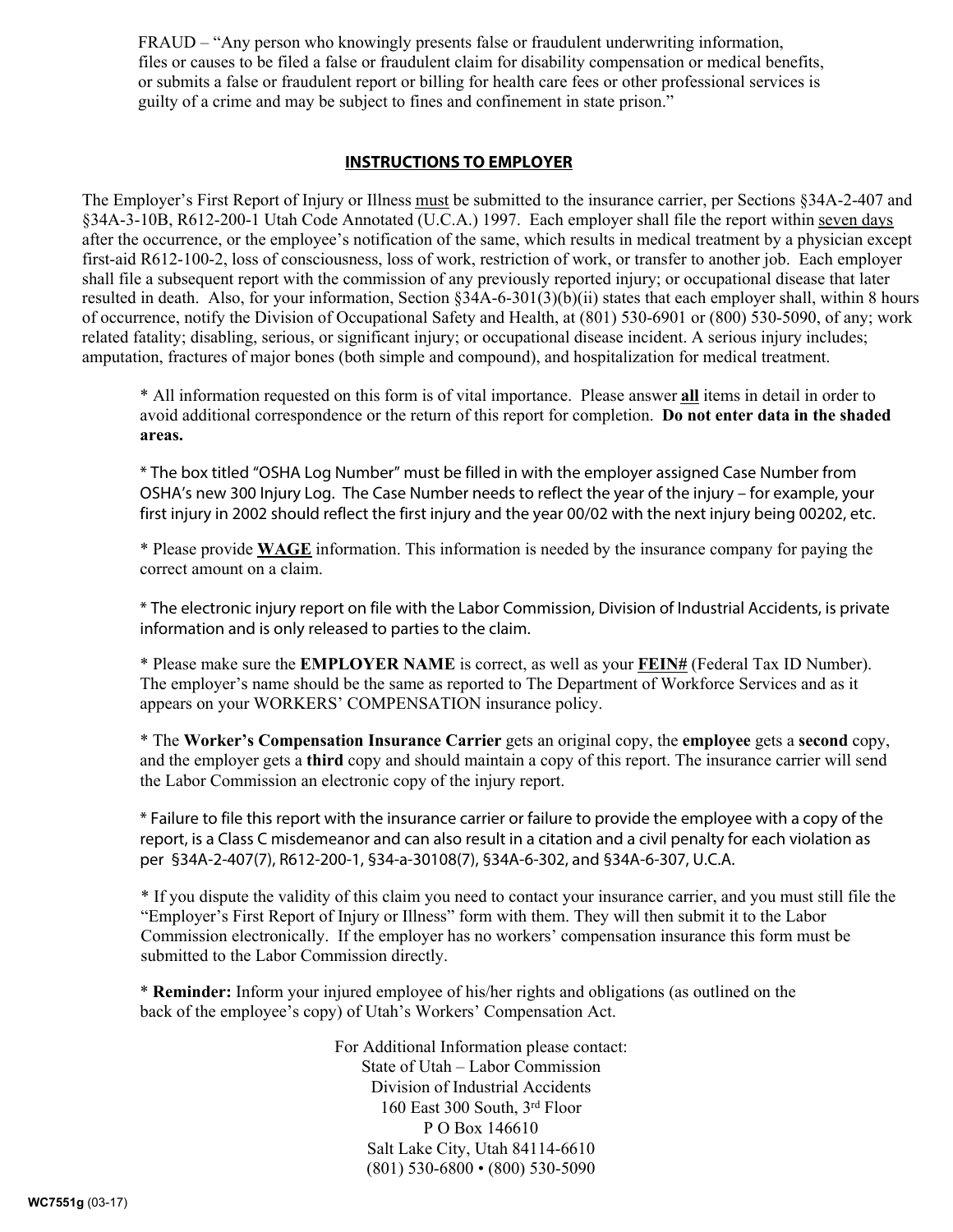FRAUD – "Any person who knowingly presents false or fraudulent underwriting information, files or causes to be filed a false or fraudulent claim for disability compensation or medical benefits, or submits a false or fraudulent report or billing for health care fees or other professional services is guilty of a crime and may be subject to fines and confinement in state prison."

#### **INSTRUCTIONS TO EMPLOYER**

The Employer's First Report of Injury or Illness must be submitted to the insurance carrier, per Sections §34A-2-407 and §34A-3-10B, R612-200-1 Utah Code Annotated (U.C.A.) 1997. Each employer shall file the report within seven days after the occurrence, or the employee's notification of the same, which results in medical treatment by a physician except first-aid R612-100-2, loss of consciousness, loss of work, restriction of work, or transfer to another job. Each employer shall file a subsequent report with the commission of any previously reported injury; or occupational disease that later resulted in death. Also, for your information, Section §34A-6-301(3)(b)(ii) states that each employer shall, within 8 hours of occurrence, notify the Division of Occupational Safety and Health, at (801) 530-6901 or (800) 530-5090, of any; work related fatality; disabling, serious, or significant injury; or occupational disease incident. A serious injury includes; amputation, fractures of major bones (both simple and compound), and hospitalization for medical treatment.

\* All information requested on this form is of vital importance. Please answer **all** items in detail in order to avoid additional correspondence or the return of this report for completion. **Do not enter data in the shaded areas.**

\* The box titled "OSHA Log Number" must be filled in with the employer assigned Case Number from OSHA's new 300 Injury Log. The Case Number needs to reflect the year of the injury – for example, your first injury in 2002 should reflect the first injury and the year 00/02 with the next injury being 00202, etc.

\* Please provide **WAGE** information. This information is needed by the insurance company for paying the correct amount on a claim.

\* The electronic injury report on file with the Labor Commission, Division of Industrial Accidents, is private information and is only released to parties to the claim.

\* Please make sure the **EMPLOYER NAME** is correct, as well as your **FEIN#** (Federal Tax ID Number). The employer's name should be the same as reported to The Department of Workforce Services and as it appears on your WORKERS' COMPENSATION insurance policy.

\* The **Worker's Compensation Insurance Carrier** gets an original copy, the **employee** gets a **second** copy, and the employer gets a **third** copy and should maintain a copy of this report. The insurance carrier will send the Labor Commission an electronic copy of the injury report.

\* Failure to file this report with the insurance carrier or failure to provide the employee with a copy of the report, is a Class C misdemeanor and can also result in a citation and a civil penalty for each violation as per §34A-2-407(7), R612-200-1, §34-a-30108(7), §34A-6-302, and §34A-6-307, U.C.A.

\* If you dispute the validity of this claim you need to contact your insurance carrier, and you must still file the "Employer's First Report of Injury or Illness" form with them. They will then submit it to the Labor Commission electronically. If the employer has no workers' compensation insurance this form must be submitted to the Labor Commission directly.

\* **Reminder:** Inform your injured employee of his/her rights and obligations (as outlined on the back of the employee's copy) of Utah's Workers' Compensation Act.

> For Additional Information please contact: State of Utah – Labor Commission Division of Industrial Accidents 160 East 300 South, 3rd Floor P O Box 146610 Salt Lake City, Utah 84114-6610 (801) 530-6800 • (800) 530-5090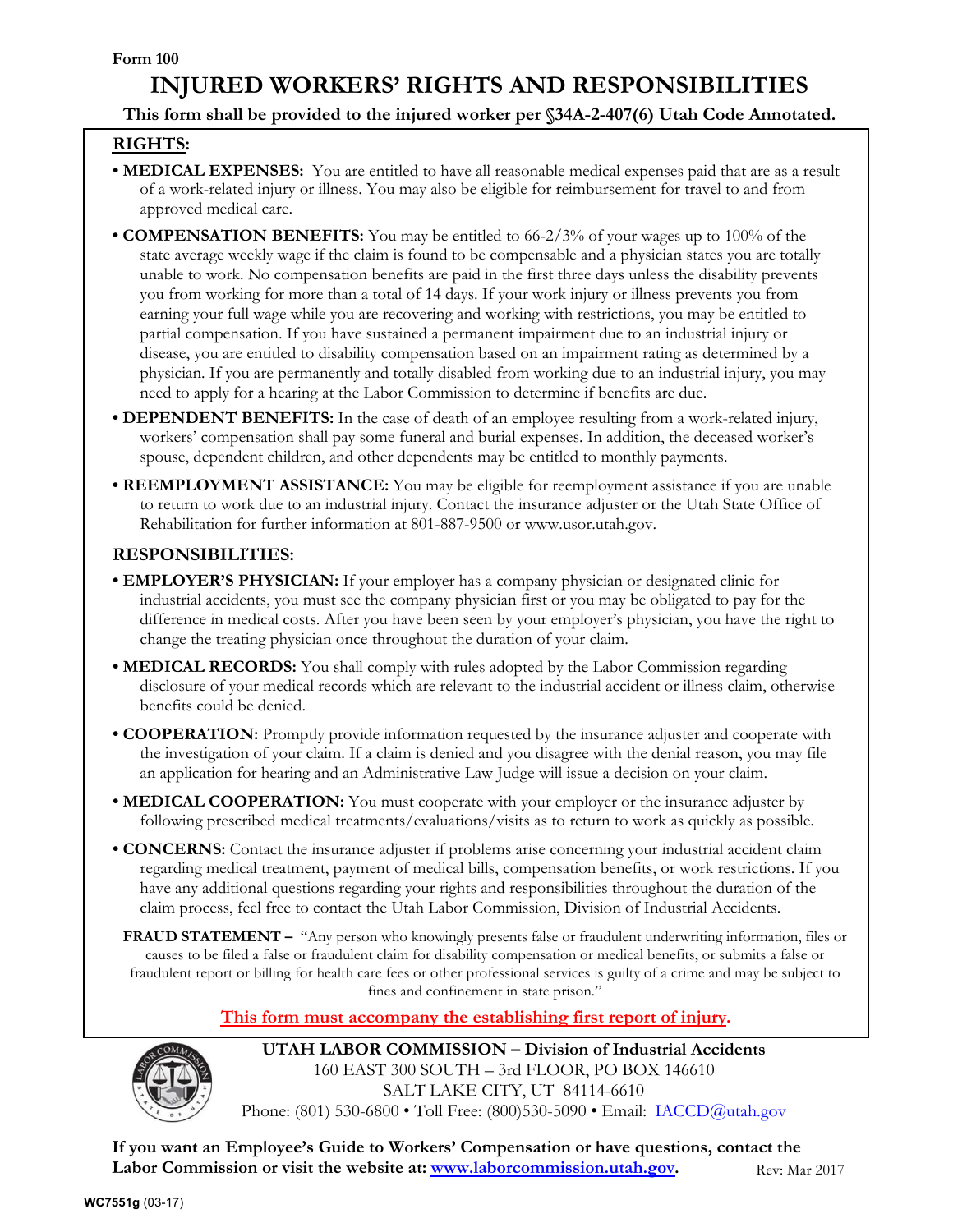# **INJURED WORKERS' RIGHTS AND RESPONSIBILITIES**

**This form shall be provided to the injured worker per §34A-2-407(6) Utah Code Annotated.** 

### **RIGHTS:**

- **MEDICAL EXPENSES:** You are entitled to have all reasonable medical expenses paid that are as a result of a work-related injury or illness. You may also be eligible for reimbursement for travel to and from approved medical care.
- **COMPENSATION BENEFITS:** You may be entitled to 66-2/3% of your wages up to 100% of the state average weekly wage if the claim is found to be compensable and a physician states you are totally unable to work. No compensation benefits are paid in the first three days unless the disability prevents you from working for more than a total of 14 days. If your work injury or illness prevents you from earning your full wage while you are recovering and working with restrictions, you may be entitled to partial compensation. If you have sustained a permanent impairment due to an industrial injury or disease, you are entitled to disability compensation based on an impairment rating as determined by a physician. If you are permanently and totally disabled from working due to an industrial injury, you may need to apply for a hearing at the Labor Commission to determine if benefits are due.
- **DEPENDENT BENEFITS:** In the case of death of an employee resulting from a work-related injury, workers' compensation shall pay some funeral and burial expenses. In addition, the deceased worker's spouse, dependent children, and other dependents may be entitled to monthly payments.
- **REEMPLOYMENT ASSISTANCE:** You may be eligible for reemployment assistance if you are unable to return to work due to an industrial injury. Contact the insurance adjuster or the Utah State Office of Rehabilitation for further information at 801-887-9500 or www.usor.utah.gov.

### **RESPONSIBILITIES:**

- **EMPLOYER'S PHYSICIAN:** If your employer has a company physician or designated clinic for industrial accidents, you must see the company physician first or you may be obligated to pay for the difference in medical costs. After you have been seen by your employer's physician, you have the right to change the treating physician once throughout the duration of your claim.
- **MEDICAL RECORDS:** You shall comply with rules adopted by the Labor Commission regarding disclosure of your medical records which are relevant to the industrial accident or illness claim, otherwise benefits could be denied.
- **COOPERATION:** Promptly provide information requested by the insurance adjuster and cooperate with the investigation of your claim. If a claim is denied and you disagree with the denial reason, you may file an application for hearing and an Administrative Law Judge will issue a decision on your claim.
- **MEDICAL COOPERATION:** You must cooperate with your employer or the insurance adjuster by following prescribed medical treatments/evaluations/visits as to return to work as quickly as possible.
- **CONCERNS:** Contact the insurance adjuster if problems arise concerning your industrial accident claim regarding medical treatment, payment of medical bills, compensation benefits, or work restrictions. If you have any additional questions regarding your rights and responsibilities throughout the duration of the claim process, feel free to contact the Utah Labor Commission, Division of Industrial Accidents.
	- **FRAUD STATEMENT** "Any person who knowingly presents false or fraudulent underwriting information, files or causes to be filed a false or fraudulent claim for disability compensation or medical benefits, or submits a false or fraudulent report or billing for health care fees or other professional services is guilty of a crime and may be subject to fines and confinement in state prison."

## **This form must accompany the establishing first report of injury.**



**UTAH LABOR COMMISSION – Division of Industrial Accidents**  160 EAST 300 SOUTH – 3rd FLOOR, PO BOX 146610 SALT LAKE CITY, UT 84114-6610 Phone: (801) 530-6800 • Toll Free: (800)530-5090 • Email: IACCD@utah.gov

**If you want an Employee's Guide to Workers' Compensation or have questions, contact the Labor Commission or visit the website at: www.laborcommission.utah.gov.** Rev: Mar 2017